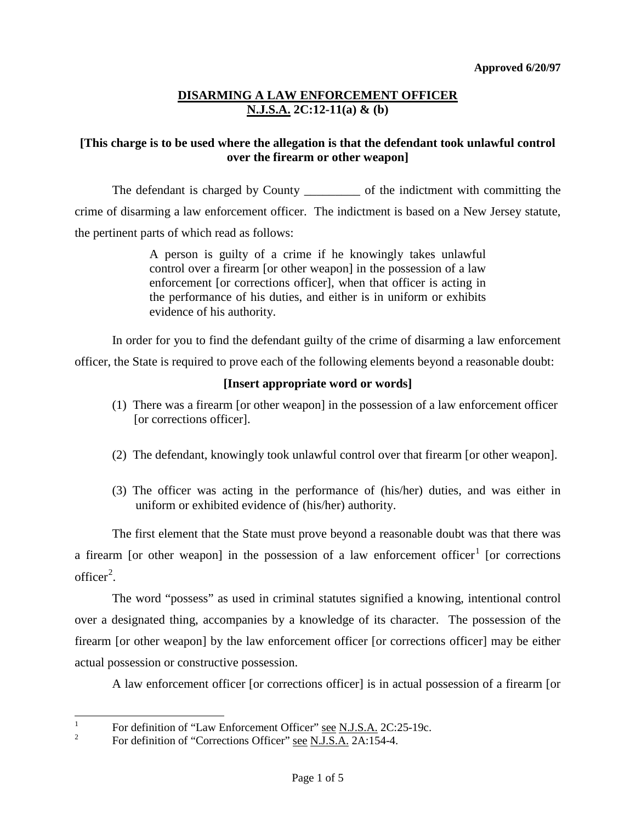### **[This charge is to be used where the allegation is that the defendant took unlawful control over the firearm or other weapon]**

The defendant is charged by County \_\_\_\_\_\_\_\_\_\_ of the indictment with committing the crime of disarming a law enforcement officer. The indictment is based on a New Jersey statute, the pertinent parts of which read as follows:

> A person is guilty of a crime if he knowingly takes unlawful control over a firearm [or other weapon] in the possession of a law enforcement [or corrections officer], when that officer is acting in the performance of his duties, and either is in uniform or exhibits evidence of his authority.

In order for you to find the defendant guilty of the crime of disarming a law enforcement

officer, the State is required to prove each of the following elements beyond a reasonable doubt:

#### **[Insert appropriate word or words]**

- (1) There was a firearm [or other weapon] in the possession of a law enforcement officer [or corrections officer].
- (2) The defendant, knowingly took unlawful control over that firearm [or other weapon].
- (3) The officer was acting in the performance of (his/her) duties, and was either in uniform or exhibited evidence of (his/her) authority.

The first element that the State must prove beyond a reasonable doubt was that there was a firearm [or other weapon] in the possession of a law enforcement officer<sup>[1](#page-3-0)</sup> [or corrections  $\text{offer}^2$  $\text{offer}^2$ .

The word "possess" as used in criminal statutes signified a knowing, intentional control over a designated thing, accompanies by a knowledge of its character. The possession of the firearm [or other weapon] by the law enforcement officer [or corrections officer] may be either actual possession or constructive possession.

A law enforcement officer [or corrections officer] is in actual possession of a firearm [or

<span id="page-0-1"></span><sup>&</sup>lt;sup>1</sup> For definition of "Law Enforcement Officer" <u>see N.J.S.A.</u> 2C:25-19c.<br><sup>2</sup> For definition of "Corrections Officer" see N.J.S.A. 2A:154-4.

<span id="page-0-0"></span>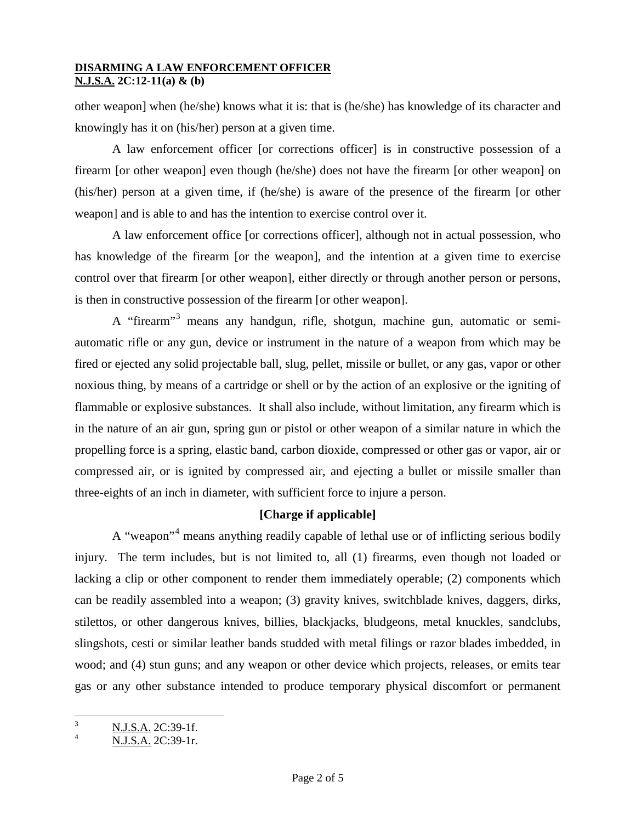other weapon] when (he/she) knows what it is: that is (he/she) has knowledge of its character and knowingly has it on (his/her) person at a given time.

A law enforcement officer [or corrections officer] is in constructive possession of a firearm [or other weapon] even though (he/she) does not have the firearm [or other weapon] on (his/her) person at a given time, if (he/she) is aware of the presence of the firearm [or other weapon] and is able to and has the intention to exercise control over it.

A law enforcement office [or corrections officer], although not in actual possession, who has knowledge of the firearm [or the weapon], and the intention at a given time to exercise control over that firearm [or other weapon], either directly or through another person or persons, is then in constructive possession of the firearm [or other weapon].

A "firearm"<sup>[3](#page-0-1)</sup> means any handgun, rifle, shotgun, machine gun, automatic or semiautomatic rifle or any gun, device or instrument in the nature of a weapon from which may be fired or ejected any solid projectable ball, slug, pellet, missile or bullet, or any gas, vapor or other noxious thing, by means of a cartridge or shell or by the action of an explosive or the igniting of flammable or explosive substances. It shall also include, without limitation, any firearm which is in the nature of an air gun, spring gun or pistol or other weapon of a similar nature in which the propelling force is a spring, elastic band, carbon dioxide, compressed or other gas or vapor, air or compressed air, or is ignited by compressed air, and ejecting a bullet or missile smaller than three-eights of an inch in diameter, with sufficient force to injure a person.

## **[Charge if applicable]**

A "weapon"[4](#page-1-0) means anything readily capable of lethal use or of inflicting serious bodily injury. The term includes, but is not limited to, all (1) firearms, even though not loaded or lacking a clip or other component to render them immediately operable; (2) components which can be readily assembled into a weapon; (3) gravity knives, switchblade knives, daggers, dirks, stilettos, or other dangerous knives, billies, blackjacks, bludgeons, metal knuckles, sandclubs, slingshots, cesti or similar leather bands studded with metal filings or razor blades imbedded, in wood; and (4) stun guns; and any weapon or other device which projects, releases, or emits tear gas or any other substance intended to produce temporary physical discomfort or permanent

<span id="page-1-1"></span> $\frac{3}{4}$  N.J.S.A. 2C:39-1f.

<span id="page-1-0"></span><sup>4</sup> N.J.S.A. 2C:39-1r.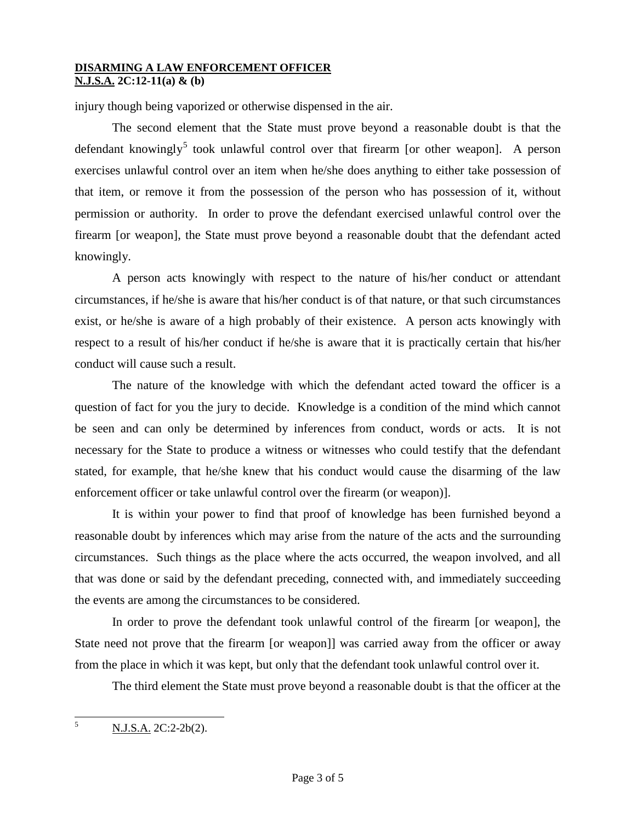injury though being vaporized or otherwise dispensed in the air.

The second element that the State must prove beyond a reasonable doubt is that the defendant knowingly<sup>[5](#page-1-1)</sup> took unlawful control over that firearm [or other weapon]. A person exercises unlawful control over an item when he/she does anything to either take possession of that item, or remove it from the possession of the person who has possession of it, without permission or authority. In order to prove the defendant exercised unlawful control over the firearm [or weapon], the State must prove beyond a reasonable doubt that the defendant acted knowingly.

A person acts knowingly with respect to the nature of his/her conduct or attendant circumstances, if he/she is aware that his/her conduct is of that nature, or that such circumstances exist, or he/she is aware of a high probably of their existence. A person acts knowingly with respect to a result of his/her conduct if he/she is aware that it is practically certain that his/her conduct will cause such a result.

The nature of the knowledge with which the defendant acted toward the officer is a question of fact for you the jury to decide. Knowledge is a condition of the mind which cannot be seen and can only be determined by inferences from conduct, words or acts. It is not necessary for the State to produce a witness or witnesses who could testify that the defendant stated, for example, that he/she knew that his conduct would cause the disarming of the law enforcement officer or take unlawful control over the firearm (or weapon)].

It is within your power to find that proof of knowledge has been furnished beyond a reasonable doubt by inferences which may arise from the nature of the acts and the surrounding circumstances. Such things as the place where the acts occurred, the weapon involved, and all that was done or said by the defendant preceding, connected with, and immediately succeeding the events are among the circumstances to be considered.

In order to prove the defendant took unlawful control of the firearm [or weapon], the State need not prove that the firearm [or weapon]] was carried away from the officer or away from the place in which it was kept, but only that the defendant took unlawful control over it.

The third element the State must prove beyond a reasonable doubt is that the officer at the

<span id="page-2-0"></span> $5$  N.J.S.A. 2C:2-2b(2).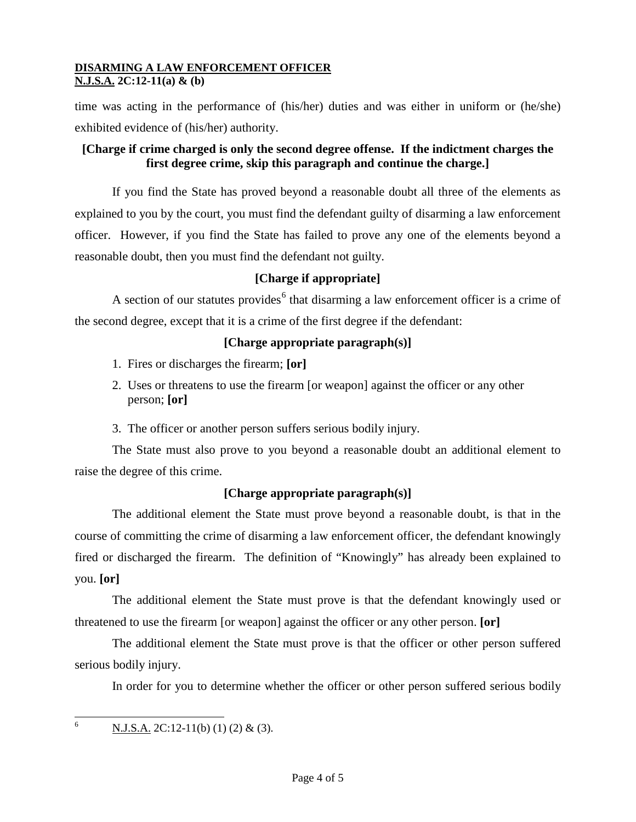time was acting in the performance of (his/her) duties and was either in uniform or (he/she) exhibited evidence of (his/her) authority.

## **[Charge if crime charged is only the second degree offense. If the indictment charges the first degree crime, skip this paragraph and continue the charge.]**

If you find the State has proved beyond a reasonable doubt all three of the elements as explained to you by the court, you must find the defendant guilty of disarming a law enforcement officer. However, if you find the State has failed to prove any one of the elements beyond a reasonable doubt, then you must find the defendant not guilty.

# **[Charge if appropriate]**

A section of our statutes provides<sup>[6](#page-2-0)</sup> that disarming a law enforcement officer is a crime of the second degree, except that it is a crime of the first degree if the defendant:

## **[Charge appropriate paragraph(s)]**

- 1. Fires or discharges the firearm; **[or]**
- 2. Uses or threatens to use the firearm [or weapon] against the officer or any other person; **[or]**
- 3. The officer or another person suffers serious bodily injury.

The State must also prove to you beyond a reasonable doubt an additional element to raise the degree of this crime.

# **[Charge appropriate paragraph(s)]**

The additional element the State must prove beyond a reasonable doubt, is that in the course of committing the crime of disarming a law enforcement officer, the defendant knowingly fired or discharged the firearm. The definition of "Knowingly" has already been explained to you. **[or]**

The additional element the State must prove is that the defendant knowingly used or threatened to use the firearm [or weapon] against the officer or any other person. **[or]**

The additional element the State must prove is that the officer or other person suffered serious bodily injury.

In order for you to determine whether the officer or other person suffered serious bodily

<span id="page-3-0"></span><sup>6</sup> N.J.S.A. 2C:12-11(b) (1) (2) & (3).